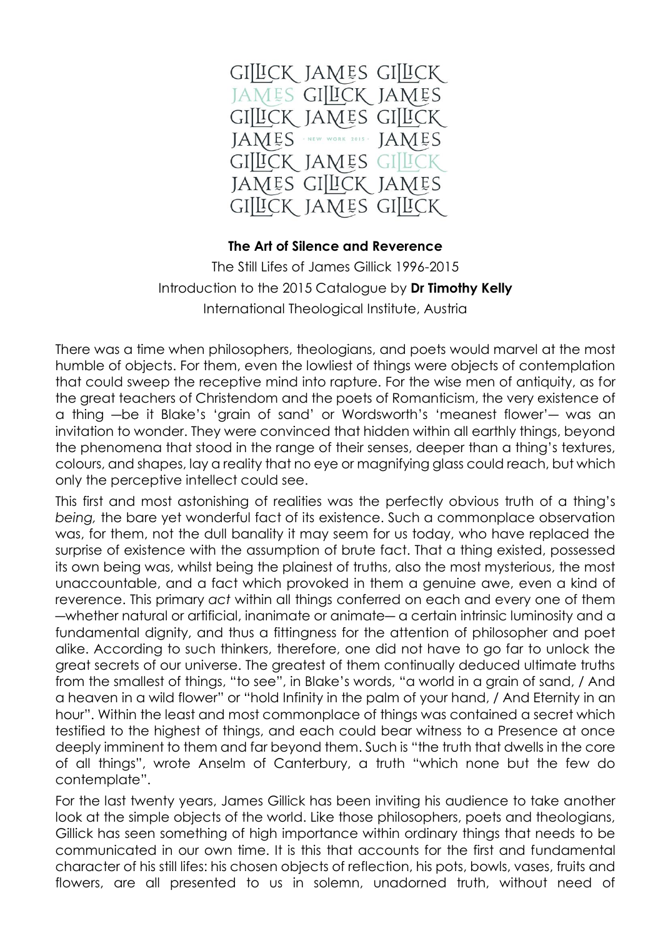

## **The Art of Silence and Reverence**

The Still Lifes of James Gillick 1996-2015 Introduction to the 2015 Catalogue by **Dr Timothy Kelly** International Theological Institute, Austria

There was a time when philosophers, theologians, and poets would marvel at the most humble of objects. For them, even the lowliest of things were objects of contemplation that could sweep the receptive mind into rapture. For the wise men of antiquity, as for the great teachers of Christendom and the poets of Romanticism, the very existence of a thing ―be it Blake's 'grain of sand' or Wordsworth's 'meanest flower'― was an invitation to wonder. They were convinced that hidden within all earthly things, beyond the phenomena that stood in the range of their senses, deeper than a thing's textures, colours, and shapes, lay a reality that no eye or magnifying glass could reach, but which only the perceptive intellect could see.

This first and most astonishing of realities was the perfectly obvious truth of a thing's *being,* the bare yet wonderful fact of its existence. Such a commonplace observation was, for them, not the dull banality it may seem for us today, who have replaced the surprise of existence with the assumption of brute fact. That a thing existed, possessed its own being was, whilst being the plainest of truths, also the most mysterious, the most unaccountable, and a fact which provoked in them a genuine awe, even a kind of reverence. This primary *act* within all things conferred on each and every one of them ―whether natural or artificial, inanimate or animate― a certain intrinsic luminosity and a fundamental dignity, and thus a fittingness for the attention of philosopher and poet alike. According to such thinkers, therefore, one did not have to go far to unlock the great secrets of our universe. The greatest of them continually deduced ultimate truths from the smallest of things, "to see", in Blake's words, "a world in a grain of sand, / And a heaven in a wild flower" or "hold Infinity in the palm of your hand, / And Eternity in an hour". Within the least and most commonplace of things was contained a secret which testified to the highest of things, and each could bear witness to a Presence at once deeply imminent to them and far beyond them. Such is "the truth that dwells in the core of all things", wrote Anselm of Canterbury, a truth "which none but the few do contemplate".

For the last twenty years, James Gillick has been inviting his audience to take another look at the simple objects of the world. Like those philosophers, poets and theologians, Gillick has seen something of high importance within ordinary things that needs to be communicated in our own time. It is this that accounts for the first and fundamental character of his still lifes: his chosen objects of reflection, his pots, bowls, vases, fruits and flowers, are all presented to us in solemn, unadorned truth, without need of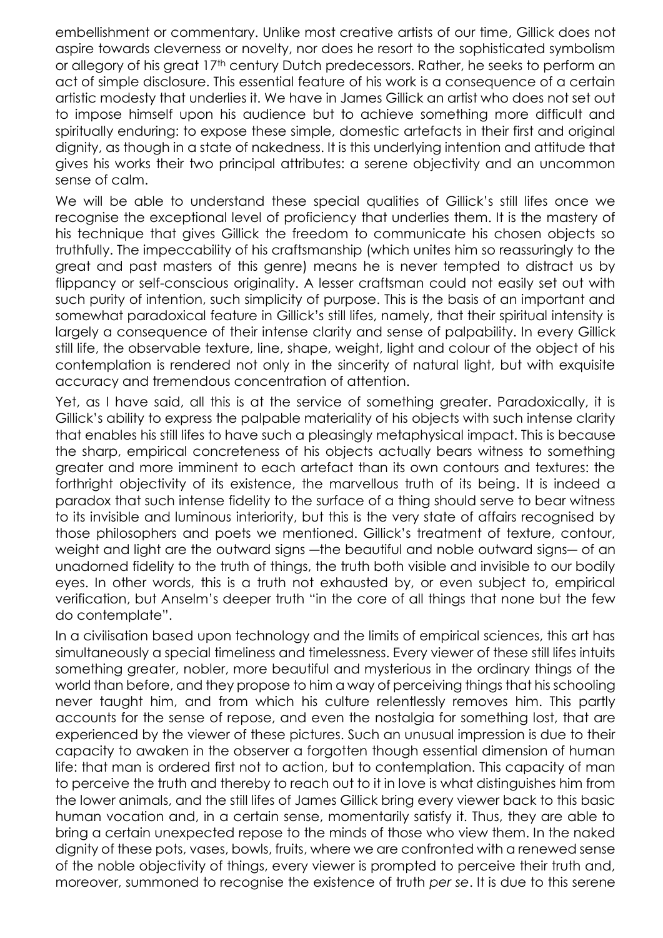embellishment or commentary. Unlike most creative artists of our time, Gillick does not aspire towards cleverness or novelty, nor does he resort to the sophisticated symbolism or allegory of his great 17th century Dutch predecessors. Rather, he seeks to perform an act of simple disclosure. This essential feature of his work is a consequence of a certain artistic modesty that underlies it. We have in James Gillick an artist who does not set out to impose himself upon his audience but to achieve something more difficult and spiritually enduring: to expose these simple, domestic artefacts in their first and original dignity, as though in a state of nakedness. It is this underlying intention and attitude that gives his works their two principal attributes: a serene objectivity and an uncommon sense of calm.

We will be able to understand these special qualities of Gillick's still lifes once we recognise the exceptional level of proficiency that underlies them. It is the mastery of his technique that gives Gillick the freedom to communicate his chosen objects so truthfully. The impeccability of his craftsmanship (which unites him so reassuringly to the great and past masters of this genre) means he is never tempted to distract us by flippancy or self-conscious originality. A lesser craftsman could not easily set out with such purity of intention, such simplicity of purpose. This is the basis of an important and somewhat paradoxical feature in Gillick's still lifes, namely, that their spiritual intensity is largely a consequence of their intense clarity and sense of palpability. In every Gillick still life, the observable texture, line, shape, weight, light and colour of the object of his contemplation is rendered not only in the sincerity of natural light, but with exquisite accuracy and tremendous concentration of attention.

Yet, as I have said, all this is at the service of something greater. Paradoxically, it is Gillick's ability to express the palpable materiality of his objects with such intense clarity that enables his still lifes to have such a pleasingly metaphysical impact. This is because the sharp, empirical concreteness of his objects actually bears witness to something greater and more imminent to each artefact than its own contours and textures: the forthright objectivity of its existence, the marvellous truth of its being. It is indeed a paradox that such intense fidelity to the surface of a thing should serve to bear witness to its invisible and luminous interiority, but this is the very state of affairs recognised by those philosophers and poets we mentioned. Gillick's treatment of texture, contour, weight and light are the outward signs ―the beautiful and noble outward signs― of an unadorned fidelity to the truth of things, the truth both visible and invisible to our bodily eyes. In other words, this is a truth not exhausted by, or even subject to, empirical verification, but Anselm's deeper truth "in the core of all things that none but the few do contemplate".

In a civilisation based upon technology and the limits of empirical sciences, this art has simultaneously a special timeliness and timelessness. Every viewer of these still lifes intuits something greater, nobler, more beautiful and mysterious in the ordinary things of the world than before, and they propose to him a way of perceiving things that his schooling never taught him, and from which his culture relentlessly removes him. This partly accounts for the sense of repose, and even the nostalgia for something lost, that are experienced by the viewer of these pictures. Such an unusual impression is due to their capacity to awaken in the observer a forgotten though essential dimension of human life: that man is ordered first not to action, but to contemplation. This capacity of man to perceive the truth and thereby to reach out to it in love is what distinguishes him from the lower animals, and the still lifes of James Gillick bring every viewer back to this basic human vocation and, in a certain sense, momentarily satisfy it. Thus, they are able to bring a certain unexpected repose to the minds of those who view them. In the naked dignity of these pots, vases, bowls, fruits, where we are confronted with a renewed sense of the noble objectivity of things, every viewer is prompted to perceive their truth and, moreover, summoned to recognise the existence of truth *per se*. It is due to this serene